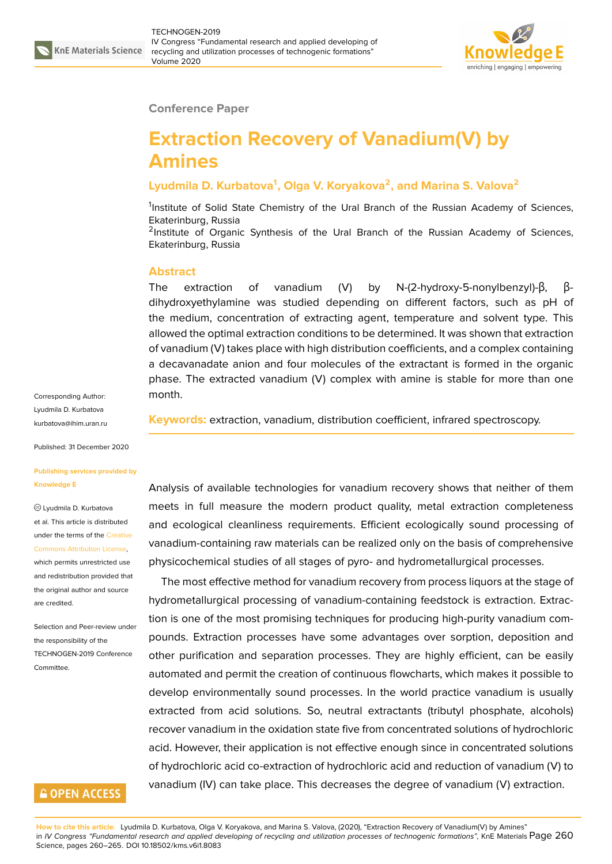

### **Conference Paper**

# **Extraction Recovery of Vanadium(V) by Amines**

# **Lyudmila D. Kurbatova<sup>1</sup> , Olga V. Koryakova<sup>2</sup> , and Marina S. Valova<sup>2</sup>**

<sup>1</sup>Institute of Solid State Chemistry of the Ural Branch of the Russian Academy of Sciences, Ekaterinburg, Russia

<sup>2</sup>Institute of Organic Synthesis of the Ural Branch of the Russian Academy of Sciences, Ekaterinburg, Russia

#### **Abstract**

The extraction of vanadium (V) by N-(2-hydroxy-5-nonylbenzyl)-β, βdihydroxyethylamine was studied depending on different factors, such as pH of the medium, concentration of extracting agent, temperature and solvent type. This allowed the optimal extraction conditions to be determined. It was shown that extraction of vanadium (V) takes place with high distribution coefficients, and a complex containing a decavanadate anion and four molecules of the extractant is formed in the organic phase. The extracted vanadium (V) complex with amine is stable for more than one month.

**Keywords:** extraction, vanadium, distribution coefficient, infrared spectroscopy.

Analysis of available technologies for vanadium recovery shows that neither of them meets in full measure the modern product quality, metal extraction completeness and ecological cleanliness requirements. Efficient ecologically sound processing of vanadium-containing raw materials can be realized only on the basis of comprehensive physicochemical studies of all stages of pyro- and hydrometallurgical processes.

The most effective method for vanadium recovery from process liquors at the stage of hydrometallurgical processing of vanadium-containing feedstock is extraction. Extraction is one of the most promising techniques for producing high-purity vanadium compounds. Extraction processes have some advantages over sorption, deposition and other purification and separation processes. They are highly efficient, can be easily automated and permit the creation of continuous flowcharts, which makes it possible to develop environmentally sound processes. In the world practice vanadium is usually extracted from acid solutions. So, neutral extractants (tributyl phosphate, alcohols) recover vanadium in the oxidation state five from concentrated solutions of hydrochloric acid. However, their application is not effective enough since in concentrated solutions of hydrochloric acid co-extraction of hydrochloric acid and reduction of vanadium (V) to vanadium (IV) can take place. This decreases the degree of vanadium (V) extraction.

Corresponding Author: Lyudmila D. Kurbatova kurbatova@ihim.uran.ru

Published: 31 December 2020

#### **[Publishing services pro](mailto:kurbatova@ihim.uran.ru)vided by Knowledge E**

Lyudmila D. Kurbatova et al. This article is distributed under the terms of the Creative Commons Attribution License,

which permits unrestricted use and redistribution provided that the original author and [source](https://creativecommons.org/licenses/by/4.0/) [are credited.](https://creativecommons.org/licenses/by/4.0/)

Selection and Peer-review under the responsibility of the TECHNOGEN-2019 Conference **Committee** 

## **GOPEN ACCESS**

**How to cite this article**: Lyudmila D. Kurbatova, Olga V. Koryakova, and Marina S. Valova, (2020), "Extraction Recovery of Vanadium(V) by Amines" in *IV Congress "Fundamental research and applied developing of recycling and utilization processes of technogenic formations"*, KnE Materials Page 260 Science, pages 260–265. DOI 10.18502/kms.v6i1.8083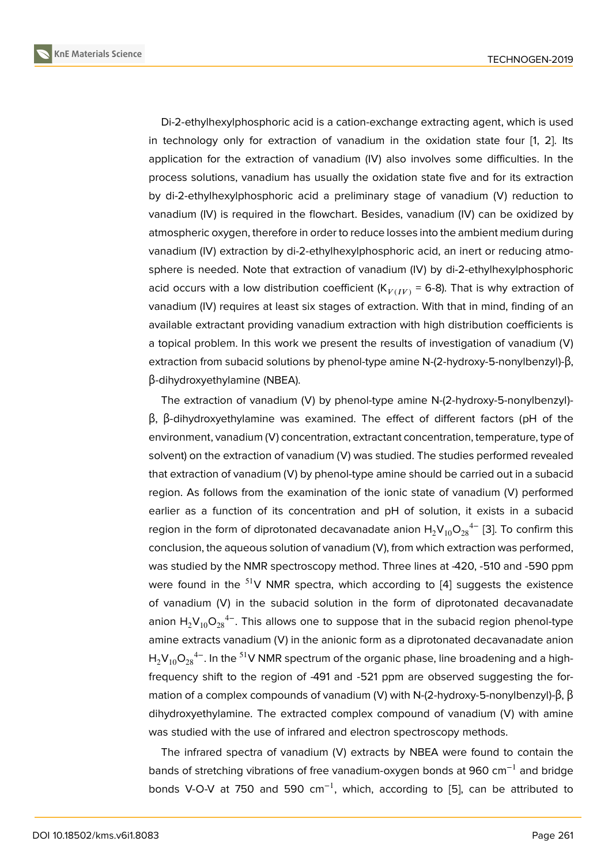Di-2-ethylhexylphosphoric acid is a cation-exchange extracting agent, which is used in technology only for extraction of vanadium in the oxidation state four [1, 2]. Its application for the extraction of vanadium (IV) also involves some difficulties. In the process solutions, vanadium has usually the oxidation state five and for its extraction by di-2-ethylhexylphosphoric acid a preliminary stage of vanadium (V) red[uc](#page-4-0)t[io](#page-4-1)n to vanadium (IV) is required in the flowchart. Besides, vanadium (IV) can be oxidized by atmospheric oxygen, therefore in order to reduce losses into the ambient medium during vanadium (IV) extraction by di-2-ethylhexylphosphoric acid, an inert or reducing atmosphere is needed. Note that extraction of vanadium (IV) by di-2-ethylhexylphosphoric acid occurs with a low distribution coefficient  $(K_{V(IV)} = 6-8)$ . That is why extraction of vanadium (IV) requires at least six stages of extraction. With that in mind, finding of an available extractant providing vanadium extraction with high distribution coefficients is a topical problem. In this work we present the results of investigation of vanadium (V) extraction from subacid solutions by phenol-type amine N-(2-hydroxy-5-nonylbenzyl)-β, β-dihydroxyethylamine (NBEA).

The extraction of vanadium (V) by phenol-type amine N-(2-hydroxy-5-nonylbenzyl) β, β-dihydroxyethylamine was examined. The effect of different factors (pH of the environment, vanadium (V) concentration, extractant concentration, temperature, type of solvent) on the extraction of vanadium (V) was studied. The studies performed revealed that extraction of vanadium (V) by phenol-type amine should be carried out in a subacid region. As follows from the examination of the ionic state of vanadium (V) performed earlier as a function of its concentration and pH of solution, it exists in a subacid region in the form of diprotonated decavanadate anion  $\mathsf{H_2V_{10}O_{28}}^{4-}$  [3]. To confirm this conclusion, the aqueous solution of vanadium (V), from which extraction was performed, was studied by the NMR spectroscopy method. Three lines at -420, -510 and -590 ppm were found in the  $51V$  NMR spectra, which according to [4] sugg[es](#page-5-0)ts the existence of vanadium (V) in the subacid solution in the form of diprotonated decavanadate anion  $\mathsf{H}_{2}\mathsf{V}_{10}\mathsf{O}_{28}^{\phantom{24}-}$ . This allows one to suppose that in the subacid region phenol-type amine extracts vanadium (V) in the anionic form as a diprot[on](#page-5-1)ated decavanadate anion  $\mathsf{H_2V_{10}O_{28}}^{4-}$ . In the  $^{51}$ V NMR spectrum of the organic phase, line broadening and a highfrequency shift to the region of -491 and -521 ppm are observed suggesting the formation of a complex compounds of vanadium (V) with N-(2-hydroxy-5-nonylbenzyl)-β, β dihydroxyethylamine. The extracted complex compound of vanadium (V) with amine was studied with the use of infrared and electron spectroscopy methods.

The infrared spectra of vanadium (V) extracts by NBEA were found to contain the bands of stretching vibrations of free vanadium-oxygen bonds at 960 cm−1 and bridge bonds V-O-V at 750 and 590 cm−1, which, according to [5], can be attributed to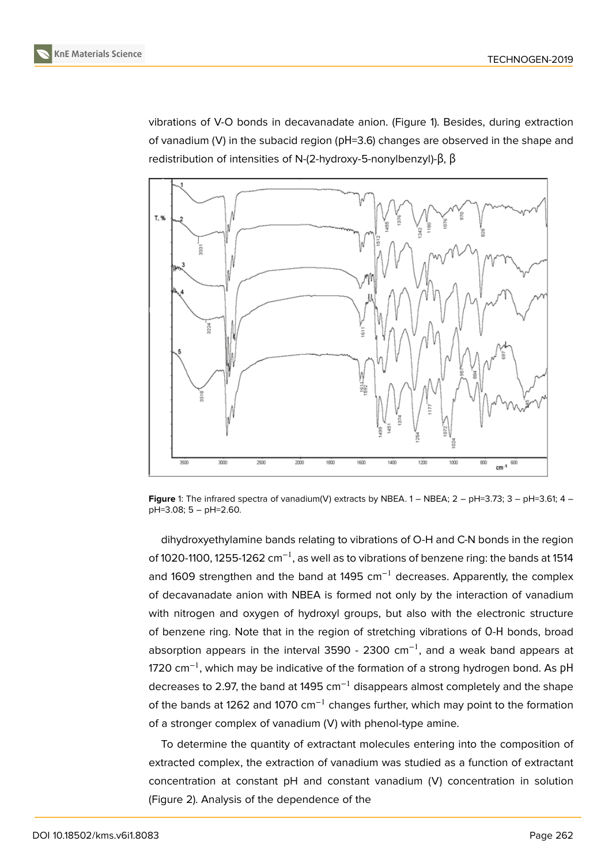vibrations of V-O bonds in decavanadate anion. (Figure 1). Besides, during extraction of vanadium (V) in the subacid region (pH=3.6) changes are observed in the shape and redistribution of intensities of N-(2-hydroxy-5-nonylbenzyl)-β, β



**Figure** 1: The infrared spectra of vanadium(V) extracts by NBEA. 1 – NBEA; 2 – pH=3.73; 3 – pH=3.61; 4 – pH=3.08; 5 – pH=2.60.

dihydroxyethylamine bands relating to vibrations of O-H and C-N bonds in the region of 1020-1100, 1255-1262 cm<sup>-1</sup>, as well as to vibrations of benzene ring: the bands at 1514 and 1609 strengthen and the band at 1495  $cm^{-1}$  decreases. Apparently, the complex of decavanadate anion with NBEA is formed not only by the interaction of vanadium with nitrogen and oxygen of hydroxyl groups, but also with the electronic structure of benzene ring. Note that in the region of stretching vibrations of О-Н bonds, broad absorption appears in the interval 3590 - 2300  $cm^{-1}$ , and a weak band appears at 1720 cm<sup>-1</sup>, which may be indicative of the formation of a strong hydrogen bond. As pH decreases to 2.97, the band at 1495  $cm^{-1}$  disappears almost completely and the shape of the bands at 1262 and 1070 cm<sup>-1</sup> changes further, which may point to the formation of a stronger complex of vanadium (V) with phenol-type amine.

To determine the quantity of extractant molecules entering into the composition of extracted complex, the extraction of vanadium was studied as a function of extractant concentration at constant pH and constant vanadium (V) concentration in solution (Figure 2). Analysis of the dependence of the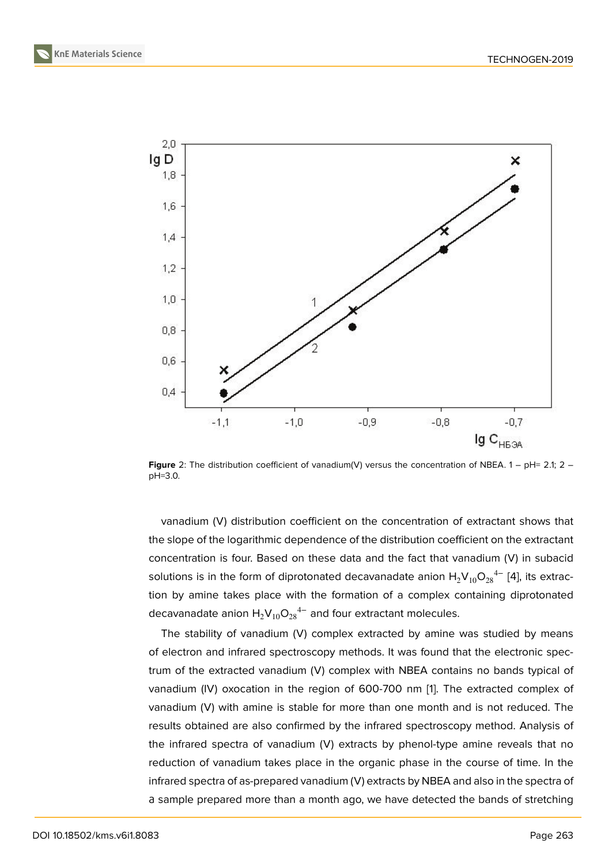

**Figure** 2: The distribution coefficient of vanadium(V) versus the concentration of NBEA. 1 – pH= 2.1; 2 – pH=3.0.

vanadium (V) distribution coefficient on the concentration of extractant shows that the slope of the logarithmic dependence of the distribution coefficient on the extractant concentration is four. Based on these data and the fact that vanadium (V) in subacid solutions is in the form of diprotonated decavanadate anion  $\mathsf{H_2V_{10}O_{28}}^{4-}$  [4], its extraction by amine takes place with the formation of a complex containing diprotonated decavanadate anion  $\mathsf{H}_{2}\mathsf{V}_{10}\mathsf{O}_{28}^{\phantom{24}-}$  and four extractant molecules.

The stability of vanadium (V) complex extracted by amine was studi[ed](#page-5-1) by means of electron and infrared spectroscopy methods. It was found that the electronic spectrum of the extracted vanadium (V) complex with NBEA contains no bands typical of vanadium (IV) oxocation in the region of 600-700 nm [1]. The extracted complex of vanadium (V) with amine is stable for more than one month and is not reduced. The results obtained are also confirmed by the infrared spectroscopy method. Analysis of the infrared spectra of vanadium (V) extracts by phen[ol-](#page-4-0)type amine reveals that no reduction of vanadium takes place in the organic phase in the course of time. In the infrared spectra of as-prepared vanadium (V) extracts by NBEA and also in the spectra of а sample prepared more than a month ago, we have detected the bands of stretching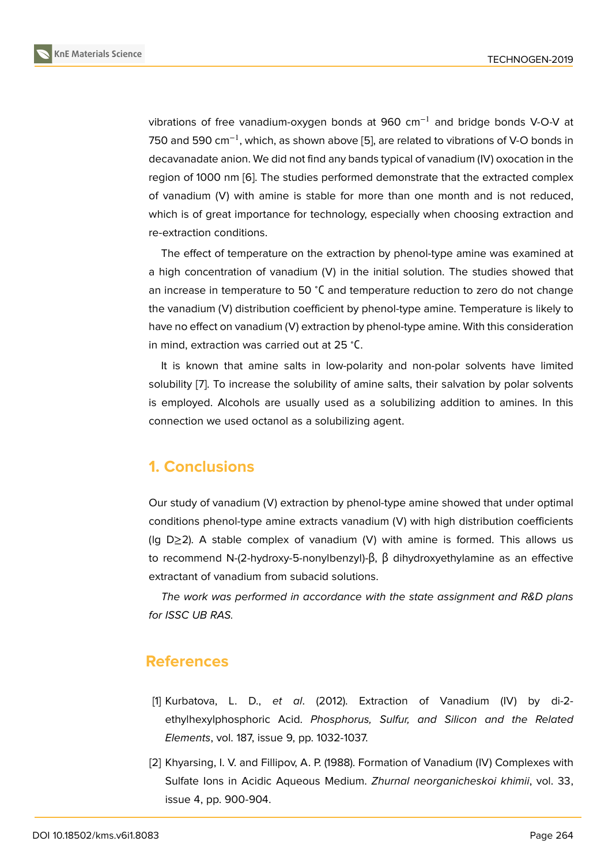vibrations of free vanadium-oxygen bonds at 960 cm−1 and bridge bonds V-O-V at 750 and 590 cm<sup>-1</sup>, which, as shown above [5], are related to vibrations of V-O bonds in decavanadate anion. We did not find any bands typical of vanadium (IV) oxocation in the region of 1000 nm [6]. The studies performed demonstrate that the extracted complex of vanadium (V) with amine is stable for [mo](#page-5-2)re than one month and is not reduced, which is of great importance for technology, especially when choosing extraction and re-extraction condit[io](#page-5-3)ns.

The effect of temperature on the extraction by phenol-type amine was examined at a high concentration of vanadium (V) in the initial solution. The studies showed that an increase in temperature to 50 <sup>∘</sup>С and temperature reduction to zero do not change the vanadium (V) distribution coefficient by phenol-type amine. Temperature is likely to have no effect on vanadium (V) extraction by phenol-type amine. With this consideration in mind, extraction was carried out at 25 <sup>∘</sup>С.

It is known that amine salts in low-polarity and non-polar solvents have limited solubility [7]. To increase the solubility of amine salts, their salvation by polar solvents is employed. Alcohols are usually used as a solubilizing addition to amines. In this connection we used octanol as a solubilizing agent.

# **1. Conclusions**

Our study of vanadium (V) extraction by phenol-type amine showed that under optimal conditions phenol-type amine extracts vanadium (V) with high distribution coefficients (lg D≥2). A stable complex of vanadium (V) with amine is formed. This allows us to recommend N-(2-hydroxy-5-nonylbenzyl)-β, β dihydroxyethylamine as an effective extractant of vanadium from subacid solutions.

*The work was performed in accordance with the state assignment and R&D plans for ISSC UB RAS.*

## **References**

- [1] Kurbatova, L. D., *et al*. (2012). Extraction of Vanadium (IV) by di-2 ethylhexylphosphoric Acid. *Phosphorus, Sulfur, and Silicon and the Related Elements*, vol. 187, issue 9, pp. 1032-1037.
- <span id="page-4-1"></span><span id="page-4-0"></span>[2] Khyarsing, I. V. and Fillipov, A. P. (1988). Formation of Vanadium (IV) Complexes with Sulfate Ions in Acidic Aqueous Medium. *Zhurnal neorganicheskoi khimii*, vol. 33, issue 4, pp. 900-904.